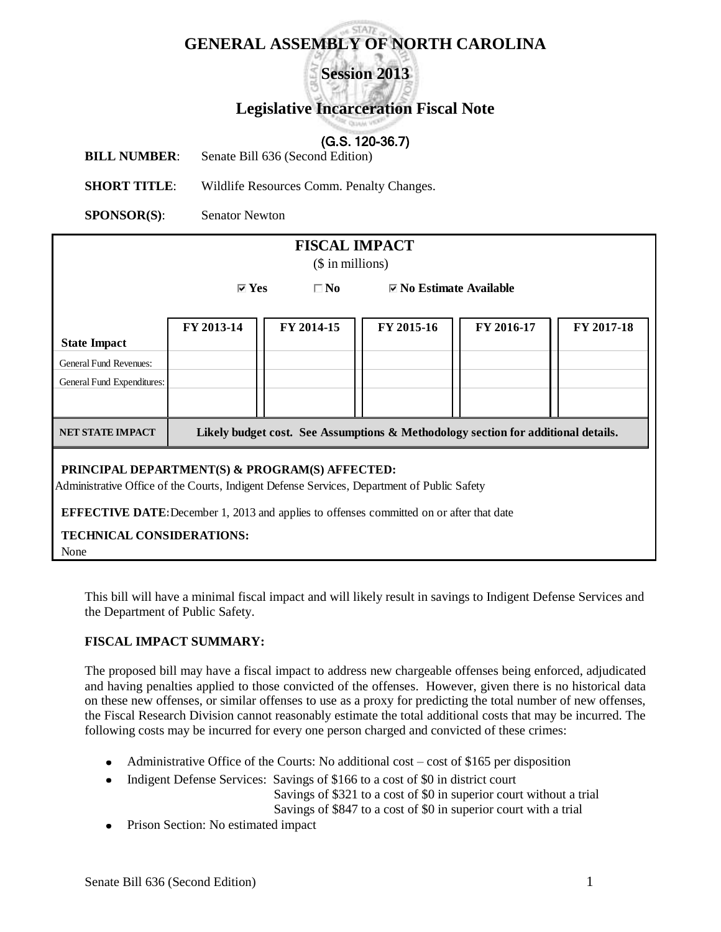# **GENERAL ASSEMBLY OF NORTH CAROLINA**

**Session 2013**

# **Legislative Incarceration Fiscal Note**

# (G.S. 120-36.7)

**BILL NUMBER:** Senate Bill 636 (Second Edition)

**SHORT TITLE**: Wildlife Resources Comm. Penalty Changes.

**SPONSOR(S)**: Senator Newton

| <b>FISCAL IMPACT</b><br>$($$ in millions)                                                                                                                                                                                                                                            |                                                                                   |              |                                 |            |            |  |  |
|--------------------------------------------------------------------------------------------------------------------------------------------------------------------------------------------------------------------------------------------------------------------------------------|-----------------------------------------------------------------------------------|--------------|---------------------------------|------------|------------|--|--|
|                                                                                                                                                                                                                                                                                      | $\triangledown$ Yes                                                               | $\square$ No | $\boxdot$ No Estimate Available |            |            |  |  |
|                                                                                                                                                                                                                                                                                      | FY 2013-14                                                                        | FY 2014-15   | FY 2015-16                      | FY 2016-17 | FY 2017-18 |  |  |
| <b>State Impact</b>                                                                                                                                                                                                                                                                  |                                                                                   |              |                                 |            |            |  |  |
| <b>General Fund Revenues:</b>                                                                                                                                                                                                                                                        |                                                                                   |              |                                 |            |            |  |  |
| General Fund Expenditures:                                                                                                                                                                                                                                                           |                                                                                   |              |                                 |            |            |  |  |
| <b>NET STATE IMPACT</b>                                                                                                                                                                                                                                                              | Likely budget cost. See Assumptions & Methodology section for additional details. |              |                                 |            |            |  |  |
| PRINCIPAL DEPARTMENT(S) & PROGRAM(S) AFFECTED:<br>Administrative Office of the Courts, Indigent Defense Services, Department of Public Safety<br><b>EFFECTIVE DATE:</b> December 1, 2013 and applies to offenses committed on or after that date<br><b>TECHNICAL CONSIDERATIONS:</b> |                                                                                   |              |                                 |            |            |  |  |

| None

This bill will have a minimal fiscal impact and will likely result in savings to Indigent Defense Services and the Department of Public Safety.

#### **FISCAL IMPACT SUMMARY:**

The proposed bill may have a fiscal impact to address new chargeable offenses being enforced, adjudicated and having penalties applied to those convicted of the offenses. However, given there is no historical data on these new offenses, or similar offenses to use as a proxy for predicting the total number of new offenses, the Fiscal Research Division cannot reasonably estimate the total additional costs that may be incurred. The following costs may be incurred for every one person charged and convicted of these crimes:

- Administrative Office of the Courts: No additional cost cost of \$165 per disposition
- Indigent Defense Services: Savings of \$166 to a cost of \$0 in district court  $\bullet$

Savings of \$321 to a cost of \$0 in superior court without a trial

Savings of \$847 to a cost of \$0 in superior court with a trial

• Prison Section: No estimated impact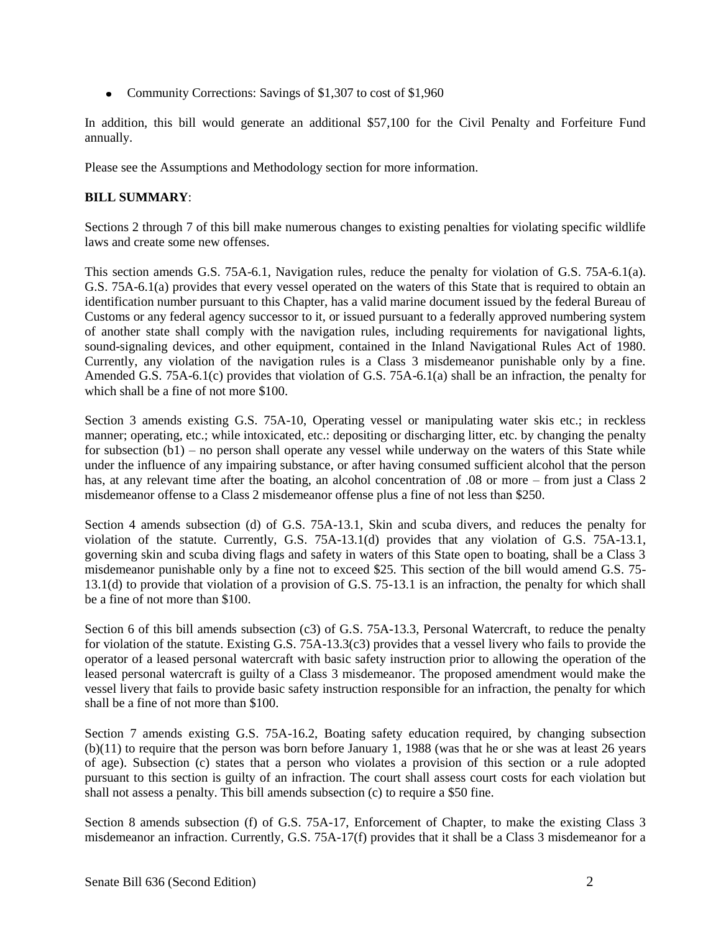• Community Corrections: Savings of \$1,307 to cost of \$1,960

In addition, this bill would generate an additional \$57,100 for the Civil Penalty and Forfeiture Fund annually.

Please see the Assumptions and Methodology section for more information.

## **BILL SUMMARY**:

Sections 2 through 7 of this bill make numerous changes to existing penalties for violating specific wildlife laws and create some new offenses.

This section amends G.S. 75A-6.1, Navigation rules, reduce the penalty for violation of G.S. 75A-6.1(a). G.S. 75A-6.1(a) provides that every vessel operated on the waters of this State that is required to obtain an identification number pursuant to this Chapter, has a valid marine document issued by the federal Bureau of Customs or any federal agency successor to it, or issued pursuant to a federally approved numbering system of another state shall comply with the navigation rules, including requirements for navigational lights, sound-signaling devices, and other equipment, contained in the Inland Navigational Rules Act of 1980. Currently, any violation of the navigation rules is a Class 3 misdemeanor punishable only by a fine. Amended G.S. 75A-6.1(c) provides that violation of G.S. 75A-6.1(a) shall be an infraction, the penalty for which shall be a fine of not more \$100.

Section 3 amends existing G.S. 75A-10, Operating vessel or manipulating water skis etc.; in reckless manner; operating, etc.; while intoxicated, etc.: depositing or discharging litter, etc. by changing the penalty for subsection  $(b1)$  – no person shall operate any vessel while underway on the waters of this State while under the influence of any impairing substance, or after having consumed sufficient alcohol that the person has, at any relevant time after the boating, an alcohol concentration of .08 or more – from just a Class 2 misdemeanor offense to a Class 2 misdemeanor offense plus a fine of not less than \$250.

Section 4 amends subsection (d) of G.S. 75A-13.1, Skin and scuba divers, and reduces the penalty for violation of the statute. Currently, G.S. 75A-13.1(d) provides that any violation of G.S. 75A-13.1, governing skin and scuba diving flags and safety in waters of this State open to boating, shall be a Class 3 misdemeanor punishable only by a fine not to exceed \$25. This section of the bill would amend G.S. 75- 13.1(d) to provide that violation of a provision of G.S. 75-13.1 is an infraction, the penalty for which shall be a fine of not more than \$100.

Section 6 of this bill amends subsection (c3) of G.S. 75A-13.3, Personal Watercraft, to reduce the penalty for violation of the statute. Existing G.S. 75A-13.3(c3) provides that a vessel livery who fails to provide the operator of a leased personal watercraft with basic safety instruction prior to allowing the operation of the leased personal watercraft is guilty of a Class 3 misdemeanor. The proposed amendment would make the vessel livery that fails to provide basic safety instruction responsible for an infraction, the penalty for which shall be a fine of not more than \$100.

Section 7 amends existing G.S. 75A-16.2, Boating safety education required, by changing subsection (b)(11) to require that the person was born before January 1, 1988 (was that he or she was at least 26 years of age). Subsection (c) states that a person who violates a provision of this section or a rule adopted pursuant to this section is guilty of an infraction. The court shall assess court costs for each violation but shall not assess a penalty. This bill amends subsection (c) to require a \$50 fine.

Section 8 amends subsection (f) of G.S. 75A-17, Enforcement of Chapter, to make the existing Class 3 misdemeanor an infraction. Currently, G.S. 75A-17(f) provides that it shall be a Class 3 misdemeanor for a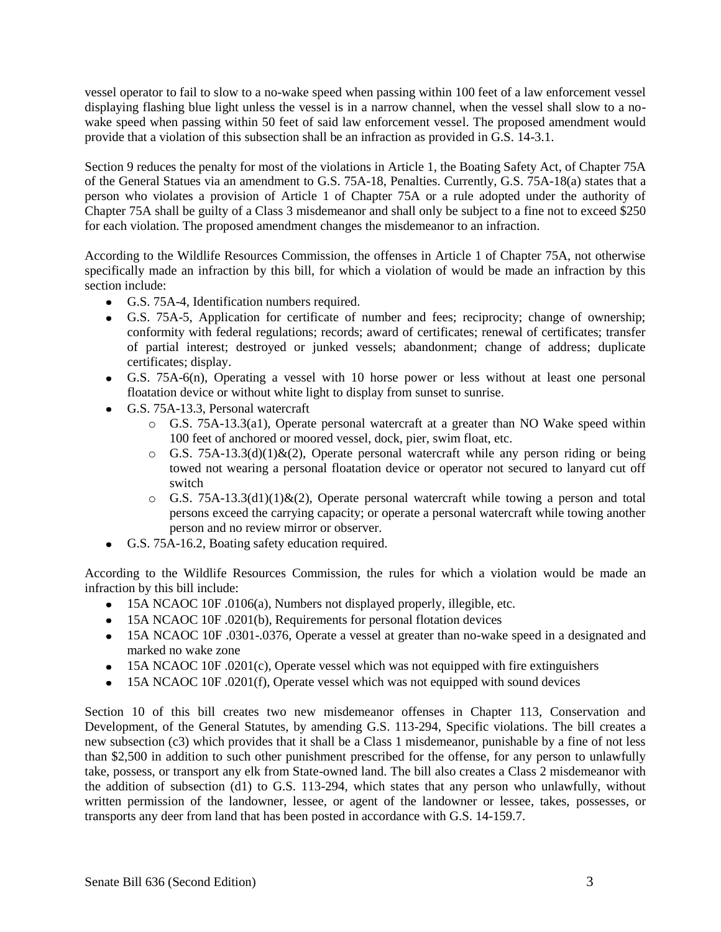vessel operator to fail to slow to a no-wake speed when passing within 100 feet of a law enforcement vessel displaying flashing blue light unless the vessel is in a narrow channel, when the vessel shall slow to a nowake speed when passing within 50 feet of said law enforcement vessel. The proposed amendment would provide that a violation of this subsection shall be an infraction as provided in G.S. 14-3.1.

Section 9 reduces the penalty for most of the violations in Article 1, the Boating Safety Act, of Chapter 75A of the General Statues via an amendment to G.S. 75A-18, Penalties. Currently, G.S. 75A-18(a) states that a person who violates a provision of Article 1 of Chapter 75A or a rule adopted under the authority of Chapter 75A shall be guilty of a Class 3 misdemeanor and shall only be subject to a fine not to exceed \$250 for each violation. The proposed amendment changes the misdemeanor to an infraction.

According to the Wildlife Resources Commission, the offenses in Article 1 of Chapter 75A, not otherwise specifically made an infraction by this bill, for which a violation of would be made an infraction by this section include:

- G.S. 75A-4, Identification numbers required.
- G.S. 75A-5, Application for certificate of number and fees; reciprocity; change of ownership; conformity with federal regulations; records; award of certificates; renewal of certificates; transfer of partial interest; destroyed or junked vessels; abandonment; change of address; duplicate certificates; display.
- G.S. 75A-6(n), Operating a vessel with 10 horse power or less without at least one personal floatation device or without white light to display from sunset to sunrise.
- G.S. 75A-13.3, Personal watercraft
	- o G.S. 75A-13.3(a1), Operate personal watercraft at a greater than NO Wake speed within 100 feet of anchored or moored vessel, dock, pier, swim float, etc.
	- $\circ$  G.S. 75A-13.3(d)(1)&(2), Operate personal watercraft while any person riding or being towed not wearing a personal floatation device or operator not secured to lanyard cut off switch
	- o G.S. 75A-13.3(d1)(1)&(2), Operate personal watercraft while towing a person and total persons exceed the carrying capacity; or operate a personal watercraft while towing another person and no review mirror or observer.
- G.S. 75A-16.2, Boating safety education required.

According to the Wildlife Resources Commission, the rules for which a violation would be made an infraction by this bill include:

- 15A NCAOC 10F .0106(a), Numbers not displayed properly, illegible, etc.
- 15A NCAOC 10F .0201(b), Requirements for personal flotation devices
- 15A NCAOC 10F .0301-.0376, Operate a vessel at greater than no-wake speed in a designated and marked no wake zone
- 15A NCAOC 10F .0201(c), Operate vessel which was not equipped with fire extinguishers
- 15A NCAOC 10F .0201(f), Operate vessel which was not equipped with sound devices

Section 10 of this bill creates two new misdemeanor offenses in Chapter 113, Conservation and Development, of the General Statutes, by amending G.S. 113-294, Specific violations. The bill creates a new subsection (c3) which provides that it shall be a Class 1 misdemeanor, punishable by a fine of not less than \$2,500 in addition to such other punishment prescribed for the offense, for any person to unlawfully take, possess, or transport any elk from State-owned land. The bill also creates a Class 2 misdemeanor with the addition of subsection (d1) to G.S. 113-294, which states that any person who unlawfully, without written permission of the landowner, lessee, or agent of the landowner or lessee, takes, possesses, or transports any deer from land that has been posted in accordance with G.S. 14-159.7.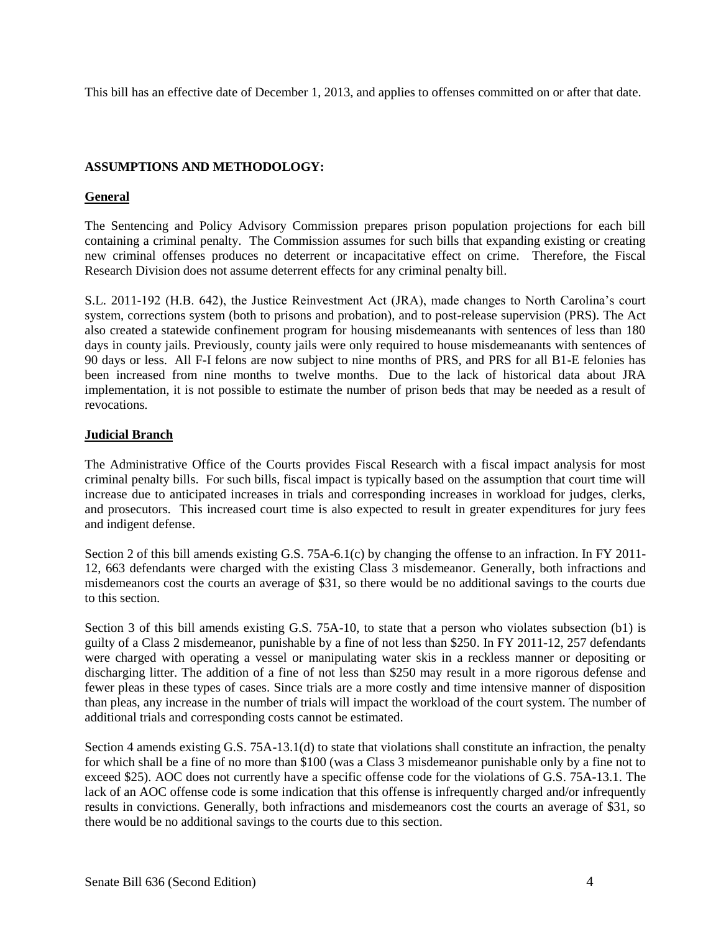This bill has an effective date of December 1, 2013, and applies to offenses committed on or after that date.

#### **ASSUMPTIONS AND METHODOLOGY:**

### **General**

The Sentencing and Policy Advisory Commission prepares prison population projections for each bill containing a criminal penalty. The Commission assumes for such bills that expanding existing or creating new criminal offenses produces no deterrent or incapacitative effect on crime. Therefore, the Fiscal Research Division does not assume deterrent effects for any criminal penalty bill.

S.L. 2011-192 (H.B. 642), the Justice Reinvestment Act (JRA), made changes to North Carolina's court system, corrections system (both to prisons and probation), and to post-release supervision (PRS). The Act also created a statewide confinement program for housing misdemeanants with sentences of less than 180 days in county jails. Previously, county jails were only required to house misdemeanants with sentences of 90 days or less. All F-I felons are now subject to nine months of PRS, and PRS for all B1-E felonies has been increased from nine months to twelve months. Due to the lack of historical data about JRA implementation, it is not possible to estimate the number of prison beds that may be needed as a result of revocations.

### **Judicial Branch**

The Administrative Office of the Courts provides Fiscal Research with a fiscal impact analysis for most criminal penalty bills. For such bills, fiscal impact is typically based on the assumption that court time will increase due to anticipated increases in trials and corresponding increases in workload for judges, clerks, and prosecutors. This increased court time is also expected to result in greater expenditures for jury fees and indigent defense.

Section 2 of this bill amends existing G.S. 75A-6.1(c) by changing the offense to an infraction. In FY 2011- 12, 663 defendants were charged with the existing Class 3 misdemeanor. Generally, both infractions and misdemeanors cost the courts an average of \$31, so there would be no additional savings to the courts due to this section.

Section 3 of this bill amends existing G.S. 75A-10, to state that a person who violates subsection (b1) is guilty of a Class 2 misdemeanor, punishable by a fine of not less than \$250. In FY 2011-12, 257 defendants were charged with operating a vessel or manipulating water skis in a reckless manner or depositing or discharging litter. The addition of a fine of not less than \$250 may result in a more rigorous defense and fewer pleas in these types of cases. Since trials are a more costly and time intensive manner of disposition than pleas, any increase in the number of trials will impact the workload of the court system. The number of additional trials and corresponding costs cannot be estimated.

Section 4 amends existing G.S. 75A-13.1(d) to state that violations shall constitute an infraction, the penalty for which shall be a fine of no more than \$100 (was a Class 3 misdemeanor punishable only by a fine not to exceed \$25). AOC does not currently have a specific offense code for the violations of G.S. 75A-13.1. The lack of an AOC offense code is some indication that this offense is infrequently charged and/or infrequently results in convictions. Generally, both infractions and misdemeanors cost the courts an average of \$31, so there would be no additional savings to the courts due to this section.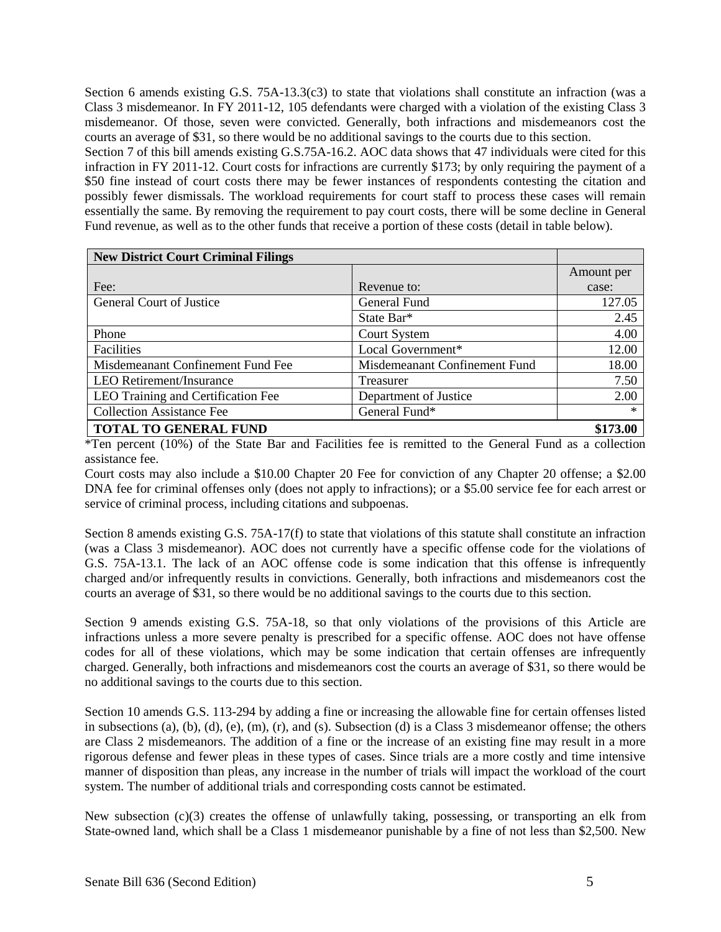Section 6 amends existing G.S. 75A-13.3(c3) to state that violations shall constitute an infraction (was a Class 3 misdemeanor. In FY 2011-12, 105 defendants were charged with a violation of the existing Class 3 misdemeanor. Of those, seven were convicted. Generally, both infractions and misdemeanors cost the courts an average of \$31, so there would be no additional savings to the courts due to this section.

Section 7 of this bill amends existing G.S.75A-16.2. AOC data shows that 47 individuals were cited for this infraction in FY 2011-12. Court costs for infractions are currently \$173; by only requiring the payment of a \$50 fine instead of court costs there may be fewer instances of respondents contesting the citation and possibly fewer dismissals. The workload requirements for court staff to process these cases will remain essentially the same. By removing the requirement to pay court costs, there will be some decline in General Fund revenue, as well as to the other funds that receive a portion of these costs (detail in table below).

| <b>New District Court Criminal Filings</b> |                               |            |
|--------------------------------------------|-------------------------------|------------|
|                                            |                               | Amount per |
| Fee:                                       | Revenue to:                   | case:      |
| <b>General Court of Justice</b>            | General Fund                  | 127.05     |
|                                            | State Bar*                    | 2.45       |
| Phone                                      | <b>Court System</b>           | 4.00       |
| Facilities                                 | Local Government*             | 12.00      |
| Misdemeanant Confinement Fund Fee          | Misdemeanant Confinement Fund | 18.00      |
| <b>LEO</b> Retirement/Insurance            | Treasurer                     | 7.50       |
| LEO Training and Certification Fee         | Department of Justice         | 2.00       |
| <b>Collection Assistance Fee</b>           | General Fund*                 | $\ast$     |
| TOTAL TO GENERAL FUND                      |                               | \$173.00   |

\*Ten percent (10%) of the State Bar and Facilities fee is remitted to the General Fund as a collection assistance fee.

Court costs may also include a \$10.00 Chapter 20 Fee for conviction of any Chapter 20 offense; a \$2.00 DNA fee for criminal offenses only (does not apply to infractions); or a \$5.00 service fee for each arrest or service of criminal process, including citations and subpoenas.

Section 8 amends existing G.S. 75A-17(f) to state that violations of this statute shall constitute an infraction (was a Class 3 misdemeanor). AOC does not currently have a specific offense code for the violations of G.S. 75A-13.1. The lack of an AOC offense code is some indication that this offense is infrequently charged and/or infrequently results in convictions. Generally, both infractions and misdemeanors cost the courts an average of \$31, so there would be no additional savings to the courts due to this section.

Section 9 amends existing G.S. 75A-18, so that only violations of the provisions of this Article are infractions unless a more severe penalty is prescribed for a specific offense. AOC does not have offense codes for all of these violations, which may be some indication that certain offenses are infrequently charged. Generally, both infractions and misdemeanors cost the courts an average of \$31, so there would be no additional savings to the courts due to this section.

Section 10 amends G.S. 113-294 by adding a fine or increasing the allowable fine for certain offenses listed in subsections (a), (b), (d), (e), (m), (r), and (s). Subsection (d) is a Class 3 misdemeanor offense; the others are Class 2 misdemeanors. The addition of a fine or the increase of an existing fine may result in a more rigorous defense and fewer pleas in these types of cases. Since trials are a more costly and time intensive manner of disposition than pleas, any increase in the number of trials will impact the workload of the court system. The number of additional trials and corresponding costs cannot be estimated.

New subsection  $(c)(3)$  creates the offense of unlawfully taking, possessing, or transporting an elk from State-owned land, which shall be a Class 1 misdemeanor punishable by a fine of not less than \$2,500. New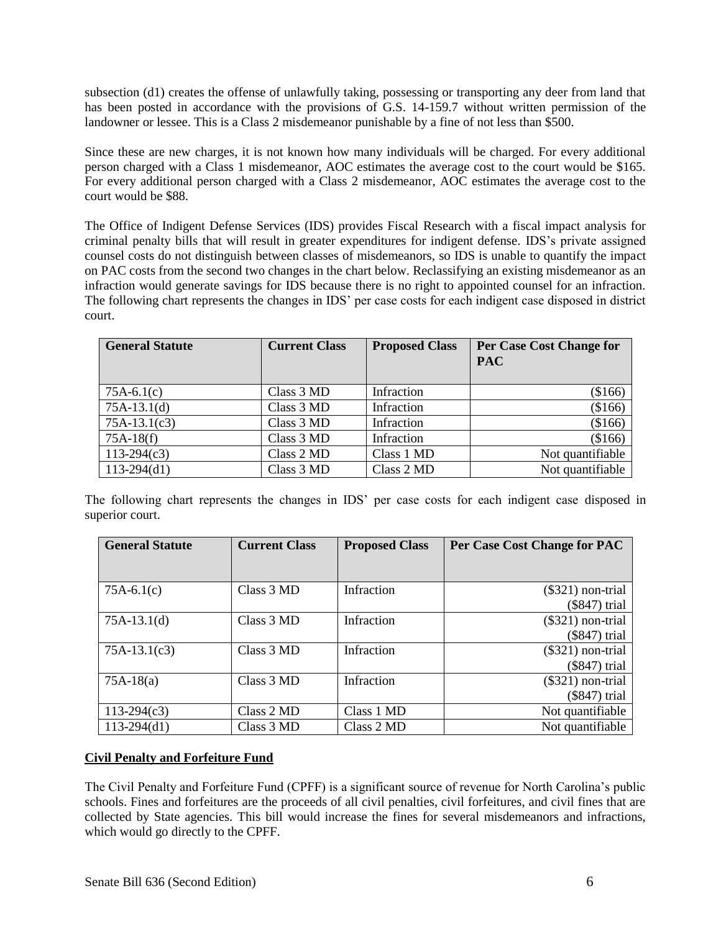subsection (d1) creates the offense of unlawfully taking, possessing or transporting any deer from land that has been posted in accordance with the provisions of G.S. 14-159.7 without written permission of the landowner or lessee. This is a Class 2 misdemeanor punishable by a fine of not less than \$500.

Since these are new charges, it is not known how many individuals will be charged. For every additional person charged with a Class 1 misdemeanor, AOC estimates the average cost to the court would be \$165. For every additional person charged with a Class 2 misdemeanor, AOC estimates the average cost to the court would be \$88.

The Office of Indigent Defense Services (IDS) provides Fiscal Research with a fiscal impact analysis for criminal penalty bills that will result in greater expenditures for indigent defense. IDS's private assigned counsel costs do not distinguish between classes of misdemeanors, so IDS is unable to quantify the impact on PAC costs from the second two changes in the chart below. Reclassifying an existing misdemeanor as an infraction would generate savings for IDS because there is no right to appointed counsel for an infraction. The following chart represents the changes in IDS' per case costs for each indigent case disposed in district court.

| <b>General Statute</b> | <b>Current Class</b> | <b>Proposed Class</b> | Per Case Cost Change for<br><b>PAC</b> |
|------------------------|----------------------|-----------------------|----------------------------------------|
| $75A-6.1(c)$           | Class 3 MD           | Infraction            | (\$166)                                |
| $75A-13.1(d)$          | Class 3 MD           | Infraction            | (\$166)                                |
| $75A-13.1(c3)$         | Class 3 MD           | Infraction            | (\$166)                                |
| $75A-18(f)$            | Class 3 MD           | Infraction            | (\$166)                                |
| $113-294(c3)$          | Class 2 MD           | Class 1 MD            | Not quantifiable                       |
| $113-294(d1)$          | Class 3 MD           | Class 2 MD            | Not quantifiable                       |

The following chart represents the changes in IDS' per case costs for each indigent case disposed in superior court.

| <b>General Statute</b> | <b>Current Class</b> | <b>Proposed Class</b> | Per Case Cost Change for PAC |
|------------------------|----------------------|-----------------------|------------------------------|
|                        |                      |                       |                              |
| $75A-6.1(c)$           | Class 3 MD           | Infraction            | $(\$321)$ non-trial          |
|                        |                      |                       | (\$847) trial                |
| $75A-13.1(d)$          | Class 3 MD           | Infraction            | $(\$321)$ non-trial          |
|                        |                      |                       | (\$847) trial                |
| $75A-13.1(c3)$         | Class 3 MD           | Infraction            | $(\$321)$ non-trial          |
|                        |                      |                       | (\$847) trial                |
| $75A-18(a)$            | Class 3 MD           | Infraction            | $(\$321)$ non-trial          |
|                        |                      |                       | (\$847) trial                |
| $113-294(c3)$          | Class 2 MD           | Class 1 MD            | Not quantifiable             |
| $113-294(d1)$          | Class 3 MD           | Class 2 MD            | Not quantifiable             |

# **Civil Penalty and Forfeiture Fund**

The Civil Penalty and Forfeiture Fund (CPFF) is a significant source of revenue for North Carolina's public schools. Fines and forfeitures are the proceeds of all civil penalties, civil forfeitures, and civil fines that are collected by State agencies. This bill would increase the fines for several misdemeanors and infractions, which would go directly to the CPFF.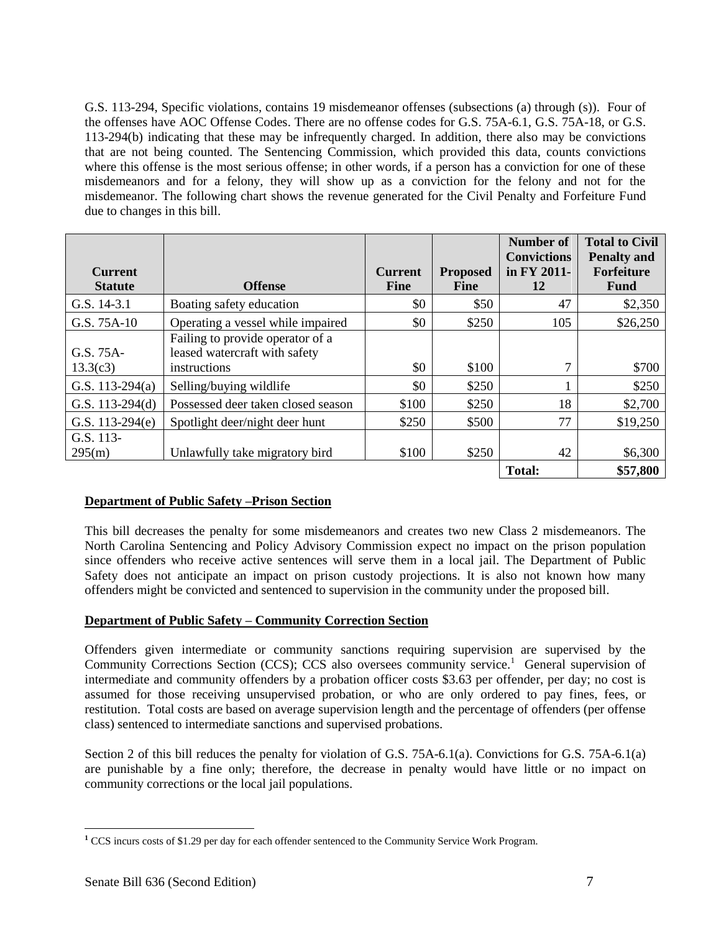G.S. 113-294, Specific violations, contains 19 misdemeanor offenses (subsections (a) through (s)). Four of the offenses have AOC Offense Codes. There are no offense codes for G.S. 75A-6.1, G.S. 75A-18, or G.S. 113-294(b) indicating that these may be infrequently charged. In addition, there also may be convictions that are not being counted. The Sentencing Commission, which provided this data, counts convictions where this offense is the most serious offense; in other words, if a person has a conviction for one of these misdemeanors and for a felony, they will show up as a conviction for the felony and not for the misdemeanor. The following chart shows the revenue generated for the Civil Penalty and Forfeiture Fund due to changes in this bill.

|                   |                                    |                |                 | <b>Number of</b><br><b>Convictions</b> | <b>Total to Civil</b><br><b>Penalty and</b> |
|-------------------|------------------------------------|----------------|-----------------|----------------------------------------|---------------------------------------------|
| <b>Current</b>    |                                    | <b>Current</b> | <b>Proposed</b> | in FY 2011-                            | Forfeiture                                  |
| <b>Statute</b>    | <b>Offense</b>                     | <b>Fine</b>    | <b>Fine</b>     | 12                                     | <b>Fund</b>                                 |
| G.S. 14-3.1       | Boating safety education           | \$0            | \$50            | 47                                     | \$2,350                                     |
| G.S. 75A-10       | Operating a vessel while impaired  | \$0            | \$250           | 105                                    | \$26,250                                    |
|                   | Failing to provide operator of a   |                |                 |                                        |                                             |
| G.S. 75A-         | leased watercraft with safety      |                |                 |                                        |                                             |
| 13.3(c3)          | instructions                       | \$0            | \$100           | 7                                      | \$700                                       |
| G.S. 113-294(a)   | Selling/buying wildlife            | \$0            | \$250           |                                        | \$250                                       |
| G.S. $113-294(d)$ | Possessed deer taken closed season | \$100          | \$250           | 18                                     | \$2,700                                     |
| G.S. $113-294(e)$ | Spotlight deer/night deer hunt     | \$250          | \$500           | 77                                     | \$19,250                                    |
| G.S. 113-         |                                    |                |                 |                                        |                                             |
| 295(m)            | Unlawfully take migratory bird     | \$100          | \$250           | 42                                     | \$6,300                                     |
|                   |                                    |                |                 | <b>Total:</b>                          | \$57,800                                    |

# **Department of Public Safety –Prison Section**

This bill decreases the penalty for some misdemeanors and creates two new Class 2 misdemeanors. The North Carolina Sentencing and Policy Advisory Commission expect no impact on the prison population since offenders who receive active sentences will serve them in a local jail. The Department of Public Safety does not anticipate an impact on prison custody projections. It is also not known how many offenders might be convicted and sentenced to supervision in the community under the proposed bill.

#### **Department of Public Safety – Community Correction Section**

Offenders given intermediate or community sanctions requiring supervision are supervised by the Community Corrections Section (CCS); CCS also oversees community service.<sup>1</sup> General supervision of intermediate and community offenders by a probation officer costs \$3.63 per offender, per day; no cost is assumed for those receiving unsupervised probation, or who are only ordered to pay fines, fees, or restitution. Total costs are based on average supervision length and the percentage of offenders (per offense class) sentenced to intermediate sanctions and supervised probations.

Section 2 of this bill reduces the penalty for violation of G.S. 75A-6.1(a). Convictions for G.S. 75A-6.1(a) are punishable by a fine only; therefore, the decrease in penalty would have little or no impact on community corrections or the local jail populations.

 $\overline{a}$ 

**<sup>1</sup>** CCS incurs costs of \$1.29 per day for each offender sentenced to the Community Service Work Program.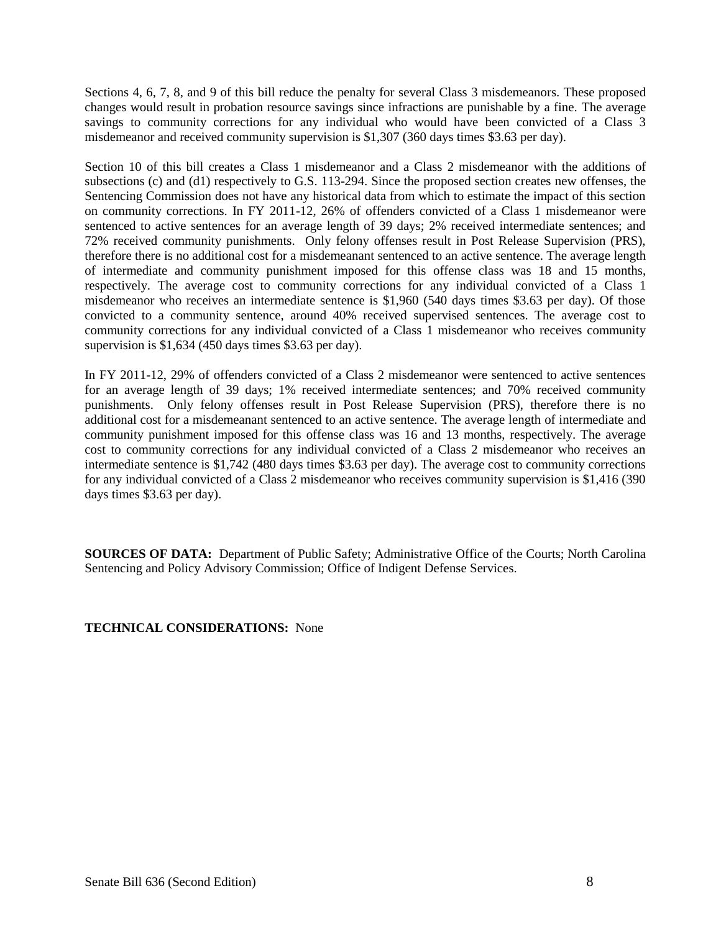Sections 4, 6, 7, 8, and 9 of this bill reduce the penalty for several Class 3 misdemeanors. These proposed changes would result in probation resource savings since infractions are punishable by a fine. The average savings to community corrections for any individual who would have been convicted of a Class 3 misdemeanor and received community supervision is \$1,307 (360 days times \$3.63 per day).

Section 10 of this bill creates a Class 1 misdemeanor and a Class 2 misdemeanor with the additions of subsections (c) and (d1) respectively to G.S. 113-294. Since the proposed section creates new offenses, the Sentencing Commission does not have any historical data from which to estimate the impact of this section on community corrections. In FY 2011-12, 26% of offenders convicted of a Class 1 misdemeanor were sentenced to active sentences for an average length of 39 days; 2% received intermediate sentences; and 72% received community punishments. Only felony offenses result in Post Release Supervision (PRS), therefore there is no additional cost for a misdemeanant sentenced to an active sentence. The average length of intermediate and community punishment imposed for this offense class was 18 and 15 months, respectively. The average cost to community corrections for any individual convicted of a Class 1 misdemeanor who receives an intermediate sentence is \$1,960 (540 days times \$3.63 per day). Of those convicted to a community sentence, around 40% received supervised sentences. The average cost to community corrections for any individual convicted of a Class 1 misdemeanor who receives community supervision is \$1,634 (450 days times \$3.63 per day).

In FY 2011-12, 29% of offenders convicted of a Class 2 misdemeanor were sentenced to active sentences for an average length of 39 days; 1% received intermediate sentences; and 70% received community punishments. Only felony offenses result in Post Release Supervision (PRS), therefore there is no additional cost for a misdemeanant sentenced to an active sentence. The average length of intermediate and community punishment imposed for this offense class was 16 and 13 months, respectively. The average cost to community corrections for any individual convicted of a Class 2 misdemeanor who receives an intermediate sentence is \$1,742 (480 days times \$3.63 per day). The average cost to community corrections for any individual convicted of a Class 2 misdemeanor who receives community supervision is \$1,416 (390 days times \$3.63 per day).

**SOURCES OF DATA:** Department of Public Safety; Administrative Office of the Courts; North Carolina Sentencing and Policy Advisory Commission; Office of Indigent Defense Services.

**TECHNICAL CONSIDERATIONS:** None